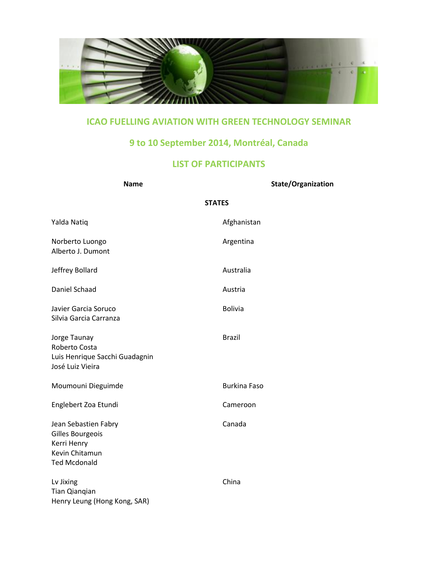

## **ICAO FUELLING AVIATION WITH GREEN TECHNOLOGY SEMINAR**

## **9 to 10 September 2014, Montréal, Canada**

## **LIST OF PARTICIPANTS**

| <b>Name</b>                                                                                      | <b>State/Organization</b> |
|--------------------------------------------------------------------------------------------------|---------------------------|
|                                                                                                  | <b>STATES</b>             |
| Yalda Natiq                                                                                      | Afghanistan               |
| Norberto Luongo<br>Alberto J. Dumont                                                             | Argentina                 |
| Jeffrey Bollard                                                                                  | Australia                 |
| Daniel Schaad                                                                                    | Austria                   |
| Javier Garcia Soruco<br>Silvia Garcia Carranza                                                   | <b>Bolivia</b>            |
| Jorge Taunay<br>Roberto Costa<br>Luis Henrique Sacchi Guadagnin<br>José Luiz Vieira              | <b>Brazil</b>             |
| Moumouni Dieguimde                                                                               | <b>Burkina Faso</b>       |
| Englebert Zoa Etundi                                                                             | Cameroon                  |
| Jean Sebastien Fabry<br>Gilles Bourgeois<br>Kerri Henry<br>Kevin Chitamun<br><b>Ted Mcdonald</b> | Canada                    |
| Lv Jixing<br><b>Tian Qianqian</b><br>Henry Leung (Hong Kong, SAR)                                | China                     |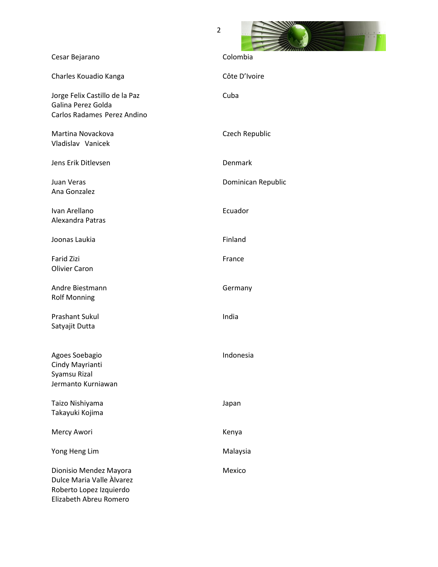| ۷                                                                                   |                    |
|-------------------------------------------------------------------------------------|--------------------|
| Cesar Bejarano                                                                      | Colombia           |
| Charles Kouadio Kanga                                                               | Côte D'Ivoire      |
| Jorge Felix Castillo de la Paz<br>Galina Perez Golda<br>Carlos Radames Perez Andino | Cuba               |
| Martina Novackova<br>Vladislav Vanicek                                              | Czech Republic     |
| Jens Erik Ditlevsen                                                                 | Denmark            |
| Juan Veras<br>Ana Gonzalez                                                          | Dominican Republic |
| Ivan Arellano<br>Alexandra Patras                                                   | Ecuador            |
| Joonas Laukia                                                                       | Finland            |
| <b>Farid Zizi</b><br><b>Olivier Caron</b>                                           | France             |
| Andre Biestmann<br><b>Rolf Monning</b>                                              | Germany            |
| <b>Prashant Sukul</b><br>Satyajit Dutta                                             | India              |
| Agoes Soebagio<br>Cindy Mayrianti<br>Syamsu Rizal<br>Jermanto Kurniawan             | Indonesia          |
| Taizo Nishiyama<br>Takayuki Kojima                                                  | Japan              |
| Mercy Awori                                                                         | Kenya              |

Mexico

Yong Heng Lim Malaysia

Dionisio Mendez Mayora Dulce Maria Valle Àlvarez Roberto Lopez Izquierdo Elizabeth Abreu Romero

 $\overline{2}$ 

**Constitution of the Constitution of the Constitution of the Constitution of the Constitution of the Constitution of the Constitution of the Constitution of the Constitution of the Constitution of the Constitution of the C**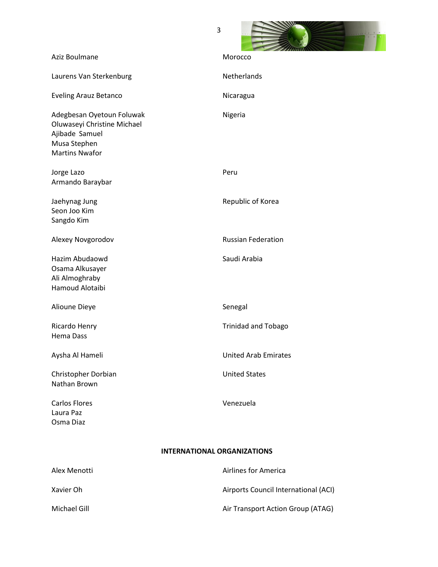

| Aziz Boulmane                                                                                                       | Morocco                            |
|---------------------------------------------------------------------------------------------------------------------|------------------------------------|
| Laurens Van Sterkenburg                                                                                             | Netherlands                        |
| <b>Eveling Arauz Betanco</b>                                                                                        | Nicaragua                          |
| Adegbesan Oyetoun Foluwak<br>Oluwaseyi Christine Michael<br>Ajibade Samuel<br>Musa Stephen<br><b>Martins Nwafor</b> | Nigeria                            |
| Jorge Lazo<br>Armando Baraybar                                                                                      | Peru                               |
| Jaehynag Jung<br>Seon Joo Kim<br>Sangdo Kim                                                                         | Republic of Korea                  |
| Alexey Novgorodov                                                                                                   | <b>Russian Federation</b>          |
| Hazim Abudaowd<br>Osama Alkusayer<br>Ali Almoghraby<br>Hamoud Alotaibi                                              | Saudi Arabia                       |
| Alioune Dieye                                                                                                       | Senegal                            |
| Ricardo Henry<br><b>Hema Dass</b>                                                                                   | <b>Trinidad and Tobago</b>         |
| Aysha Al Hameli                                                                                                     | <b>United Arab Emirates</b>        |
| Christopher Dorbian<br>Nathan Brown                                                                                 | <b>United States</b>               |
| <b>Carlos Flores</b><br>Laura Paz<br>Osma Diaz                                                                      | Venezuela                          |
|                                                                                                                     | <b>INTERNATIONAL ORGANIZATIONS</b> |

| Alex Menotti | Airlines for America                 |
|--------------|--------------------------------------|
| Xavier Oh    | Airports Council International (ACI) |
| Michael Gill | Air Transport Action Group (ATAG)    |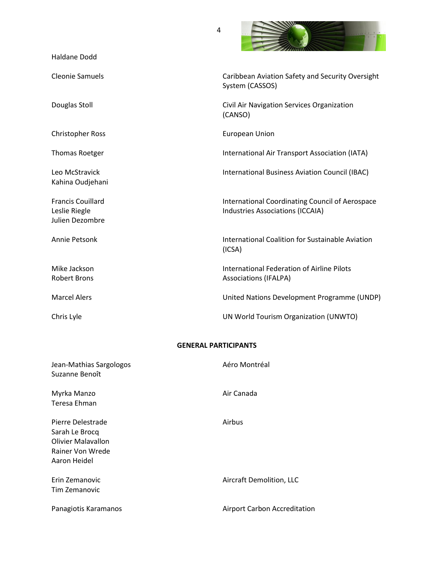| <b>Haldane Dodd</b>                                          |                                                                                            |
|--------------------------------------------------------------|--------------------------------------------------------------------------------------------|
| <b>Cleonie Samuels</b>                                       | Caribbean Aviation Safety and Security Oversight<br>System (CASSOS)                        |
| Douglas Stoll                                                | Civil Air Navigation Services Organization<br>(CANSO)                                      |
| <b>Christopher Ross</b>                                      | <b>European Union</b>                                                                      |
| Thomas Roetger                                               | International Air Transport Association (IATA)                                             |
| Leo McStravick<br>Kahina Oudjehani                           | International Business Aviation Council (IBAC)                                             |
| <b>Francis Couillard</b><br>Leslie Riegle<br>Julien Dezombre | <b>International Coordinating Council of Aerospace</b><br>Industries Associations (ICCAIA) |
| Annie Petsonk                                                | <b>International Coalition for Sustainable Aviation</b><br>(ICSA)                          |
| Mike Jackson<br><b>Robert Brons</b>                          | <b>International Federation of Airline Pilots</b><br><b>Associations (IFALPA)</b>          |
| <b>Marcel Alers</b>                                          | United Nations Development Programme (UNDP)                                                |
| Chris Lyle                                                   | UN World Tourism Organization (UNWTO)                                                      |

## **GENERAL PARTICIPANTS**

| Jean-Mathias Sargologos<br>Suzanne Benoît                                                            | Aéro Montréal                       |
|------------------------------------------------------------------------------------------------------|-------------------------------------|
| Myrka Manzo<br>Teresa Ehman                                                                          | Air Canada                          |
| Pierre Delestrade<br>Sarah Le Brocq<br><b>Olivier Malavallon</b><br>Rainer Von Wrede<br>Aaron Heidel | Airbus                              |
| Erin Zemanovic<br>Tim Zemanovic                                                                      | Aircraft Demolition, LLC            |
| Panagiotis Karamanos                                                                                 | <b>Airport Carbon Accreditation</b> |

4

and the second control of the second second second second second second second second second second second second second second second second second second second second second second second second second second second sec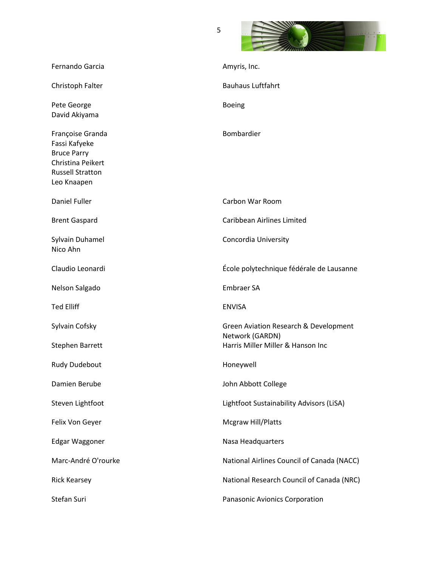

| Fernando Garcia                                                                                                        | Amyris, Inc.                                             |
|------------------------------------------------------------------------------------------------------------------------|----------------------------------------------------------|
| Christoph Falter                                                                                                       | <b>Bauhaus Luftfahrt</b>                                 |
| Pete George<br>David Akiyama                                                                                           | <b>Boeing</b>                                            |
| Françoise Granda<br>Fassi Kafyeke<br><b>Bruce Parry</b><br>Christina Peikert<br><b>Russell Stratton</b><br>Leo Knaapen | Bombardier                                               |
| Daniel Fuller                                                                                                          | Carbon War Room                                          |
| <b>Brent Gaspard</b>                                                                                                   | <b>Caribbean Airlines Limited</b>                        |
| Sylvain Duhamel<br>Nico Ahn                                                                                            | Concordia University                                     |
| Claudio Leonardi                                                                                                       | École polytechnique fédérale de Lausanne                 |
| Nelson Salgado                                                                                                         | <b>Embraer SA</b>                                        |
| <b>Ted Elliff</b>                                                                                                      | <b>ENVISA</b>                                            |
| Sylvain Cofsky                                                                                                         | Green Aviation Research & Development<br>Network (GARDN) |
| <b>Stephen Barrett</b>                                                                                                 | Harris Miller Miller & Hanson Inc                        |
| <b>Rudy Dudebout</b>                                                                                                   | Honeywell                                                |
| Damien Berube                                                                                                          | John Abbott College                                      |
| Steven Lightfoot                                                                                                       | Lightfoot Sustainability Advisors (LiSA)                 |
| Felix Von Geyer                                                                                                        | <b>Mcgraw Hill/Platts</b>                                |
| Edgar Waggoner                                                                                                         | Nasa Headquarters                                        |
| Marc-André O'rourke                                                                                                    | National Airlines Council of Canada (NACC)               |
| <b>Rick Kearsey</b>                                                                                                    | National Research Council of Canada (NRC)                |
|                                                                                                                        |                                                          |